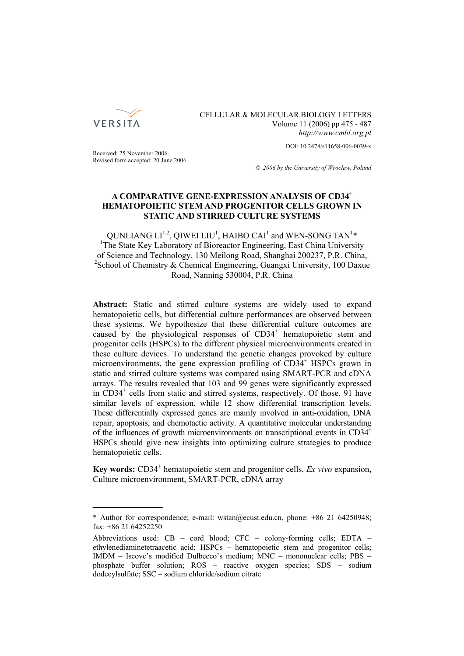

CELLULAR & MOLECULAR BIOLOGY LETTERS Volume 11 (2006) pp 475 - 487 *http://www.cmbl.org.pl*

DOI: 10.2478/s11658-006-0039-x

Received: 25 November 2006 Revised form accepted: 20 June 2006

*© 2006 by the University of Wrocław, Poland*

# **A COMPARATIVE GENE-EXPRESSION ANALYSIS OF CD34<sup>+</sup> HEMATOPOIETIC STEM AND PROGENITOR CELLS GROWN IN STATIC AND STIRRED CULTURE SYSTEMS**

QUNLIANG  $LI^{1,2}$ , QIWEI LIU<sup>1</sup>, HAIBO CAI<sup>1</sup> and WEN-SONG TAN<sup>1</sup>\* <sup>1</sup>The State Key Laboratory of Bioreactor Engineering, East China University of Science and Technology, 130 Meilong Road, Shanghai 200237, P.R. China, <sup>2</sup> School of Chemistry & Chemical Engineering, Guangxi University, 100 Daxue Road, Nanning 530004, P.R. China

**Abstract:** Static and stirred culture systems are widely used to expand hematopoietic cells, but differential culture performances are observed between these systems. We hypothesize that these differential culture outcomes are caused by the physiological responses of CD34<sup>+</sup> hematopoietic stem and progenitor cells (HSPCs) to the different physical microenvironments created in these culture devices. To understand the genetic changes provoked by culture microenvironments, the gene expression profiling of CD34<sup>+</sup> HSPCs grown in static and stirred culture systems was compared using SMART-PCR and cDNA arrays. The results revealed that 103 and 99 genes were significantly expressed in CD34<sup>+</sup> cells from static and stirred systems, respectively. Of those, 91 have similar levels of expression, while 12 show differential transcription levels. These differentially expressed genes are mainly involved in anti-oxidation, DNA repair, apoptosis, and chemotactic activity. A quantitative molecular understanding of the influences of growth microenvironments on transcriptional events in  $CD34^+$ HSPCs should give new insights into optimizing culture strategies to produce hematopoietic cells.

**Key words:** CD34<sup>+</sup> hematopoietic stem and progenitor cells, *Ex vivo* expansion, Culture microenvironment, SMART-PCR, cDNA array

<sup>\*</sup> Author for correspondence; e-mail: wstan@ecust.edu.cn, phone: +86 21 64250948; fax: +86 21 64252250

Abbreviations used: CB – cord blood; CFC – colony-forming cells; EDTA – ethylenediaminetetraacetic acid; HSPCs – hematopoietic stem and progenitor cells; IMDM – Iscove's modified Dulbecco's medium; MNC – mononuclear cells; PBS – phosphate buffer solution; ROS – reactive oxygen species; SDS – sodium dodecylsulfate; SSC – sodium chloride/sodium citrate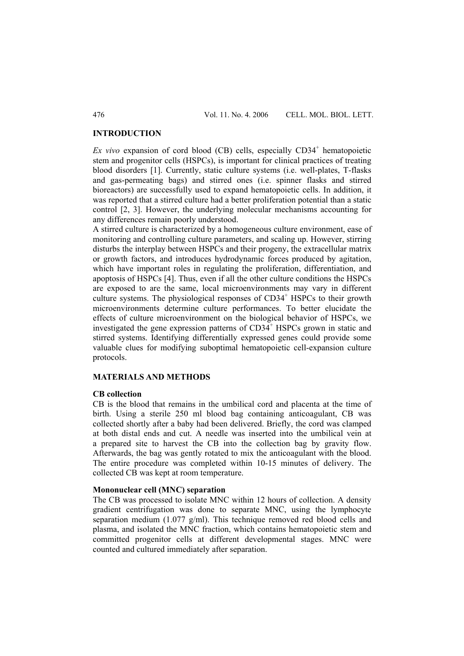### **INTRODUCTION**

 $Ex$  vivo expansion of cord blood  $(CB)$  cells, especially  $CD34<sup>+</sup>$  hematopoietic stem and progenitor cells (HSPCs), is important for clinical practices of treating blood disorders [1]. Currently, static culture systems (i.e. well-plates, T-flasks and gas-permeating bags) and stirred ones (i.e. spinner flasks and stirred bioreactors) are successfully used to expand hematopoietic cells. In addition, it was reported that a stirred culture had a better proliferation potential than a static control [2, 3]. However, the underlying molecular mechanisms accounting for any differences remain poorly understood.

A stirred culture is characterized by a homogeneous culture environment, ease of monitoring and controlling culture parameters, and scaling up. However, stirring disturbs the interplay between HSPCs and their progeny, the extracellular matrix or growth factors, and introduces hydrodynamic forces produced by agitation, which have important roles in regulating the proliferation, differentiation, and apoptosis of HSPCs [4]. Thus, even if all the other culture conditions the HSPCs are exposed to are the same, local microenvironments may vary in different culture systems. The physiological responses of CD34<sup>+</sup> HSPCs to their growth microenvironments determine culture performances. To better elucidate the effects of culture microenvironment on the biological behavior of HSPCs, we investigated the gene expression patterns of  $CD34<sup>+</sup>$  HSPCs grown in static and stirred systems. Identifying differentially expressed genes could provide some valuable clues for modifying suboptimal hematopoietic cell-expansion culture protocols.

#### **MATERIALS AND METHODS**

#### **CB collection**

CB is the blood that remains in the umbilical cord and placenta at the time of birth. Using a sterile 250 ml blood bag containing anticoagulant, CB was collected shortly after a baby had been delivered. Briefly, the cord was clamped at both distal ends and cut. A needle was inserted into the umbilical vein at a prepared site to harvest the CB into the collection bag by gravity flow. Afterwards, the bag was gently rotated to mix the anticoagulant with the blood. The entire procedure was completed within 10-15 minutes of delivery. The collected CB was kept at room temperature.

### **Mononuclear cell (MNC) separation**

The CB was processed to isolate MNC within 12 hours of collection. A density gradient centrifugation was done to separate MNC, using the lymphocyte separation medium (1.077 g/ml). This technique removed red blood cells and plasma, and isolated the MNC fraction, which contains hematopoietic stem and committed progenitor cells at different developmental stages. MNC were counted and cultured immediately after separation.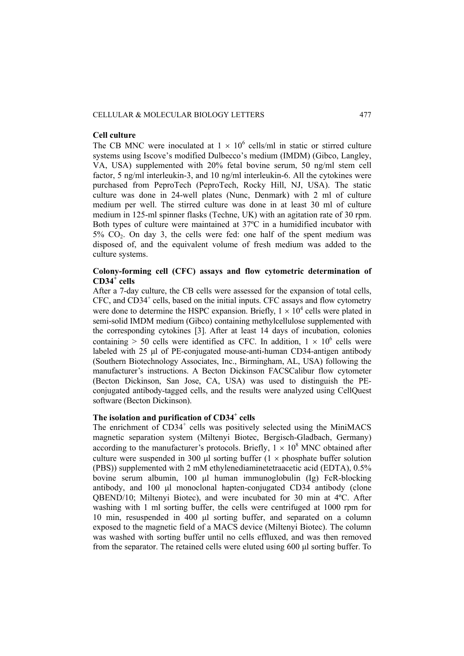#### CELLULAR & MOLECULAR BIOLOGY LETTERS 477

#### **Cell culture**

The CB MNC were inoculated at  $1 \times 10^6$  cells/ml in static or stirred culture systems using Iscove's modified Dulbecco's medium (IMDM) (Gibco, Langley, VA, USA) supplemented with 20% fetal bovine serum, 50 ng/ml stem cell factor, 5 ng/ml interleukin-3, and 10 ng/ml interleukin-6. All the cytokines were purchased from PeproTech (PeproTech, Rocky Hill, NJ, USA). The static culture was done in 24-well plates (Nunc, Denmark) with 2 ml of culture medium per well. The stirred culture was done in at least 30 ml of culture medium in 125-ml spinner flasks (Techne, UK) with an agitation rate of 30 rpm. Both types of culture were maintained at 37ºC in a humidified incubator with  $5\%$   $CO<sub>2</sub>$ . On day 3, the cells were fed: one half of the spent medium was disposed of, and the equivalent volume of fresh medium was added to the culture systems.

# **Colony-forming cell (CFC) assays and flow cytometric determination of CD34<sup>+</sup> cells**

After a 7-day culture, the CB cells were assessed for the expansion of total cells, CFC, and CD34<sup>+</sup> cells, based on the initial inputs. CFC assays and flow cytometry were done to determine the HSPC expansion. Briefly,  $1 \times 10^4$  cells were plated in semi-solid IMDM medium (Gibco) containing methylcellulose supplemented with the corresponding cytokines [3]. After at least 14 days of incubation, colonies containing > 50 cells were identified as CFC. In addition,  $1 \times 10^6$  cells were labeled with 25 μl of PE-conjugated mouse-anti-human CD34-antigen antibody (Southern Biotechnology Associates, Inc., Birmingham, AL, USA) following the manufacturer's instructions. A Becton Dickinson FACSCalibur flow cytometer (Becton Dickinson, San Jose, CA, USA) was used to distinguish the PEconjugated antibody-tagged cells, and the results were analyzed using CellQuest software (Becton Dickinson).

# The isolation and purification of CD34<sup>+</sup> cells

The enrichment of  $CD34^+$  cells was positively selected using the MiniMACS magnetic separation system (Miltenyi Biotec, Bergisch-Gladbach, Germany) according to the manufacturer's protocols. Briefly,  $1 \times 10^8$  MNC obtained after culture were suspended in 300 μl sorting buffer  $(1 \times$  phosphate buffer solution (PBS)) supplemented with 2 mM ethylenediaminetetraacetic acid (EDTA), 0.5% bovine serum albumin, 100 μl human immunoglobulin (Ig) FcR-blocking antibody, and 100 μl monoclonal hapten-conjugated CD34 antibody (clone QBEND/10; Miltenyi Biotec), and were incubated for 30 min at 4ºC. After washing with 1 ml sorting buffer, the cells were centrifuged at 1000 rpm for 10 min, resuspended in 400 μl sorting buffer, and separated on a column exposed to the magnetic field of a MACS device (Miltenyi Biotec). The column was washed with sorting buffer until no cells effluxed, and was then removed from the separator. The retained cells were eluted using 600 μl sorting buffer. To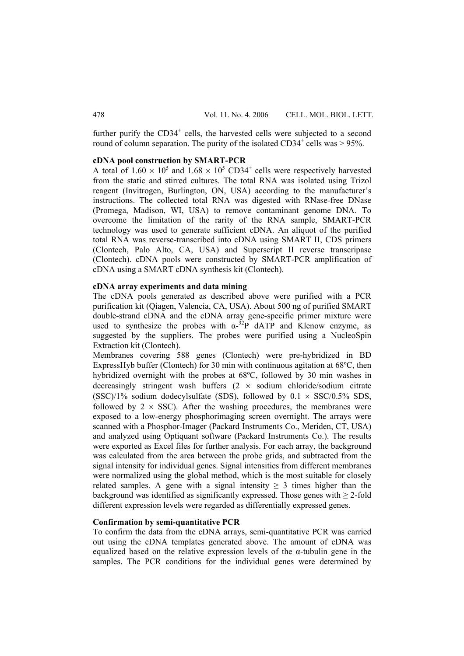further purify the  $CD34^+$  cells, the harvested cells were subjected to a second round of column separation. The purity of the isolated  $CD34^+$  cells was  $> 95\%$ .

# **cDNA pool construction by SMART-PCR**

A total of  $1.60 \times 10^5$  and  $1.68 \times 10^5$  CD34<sup>+</sup> cells were respectively harvested from the static and stirred cultures. The total RNA was isolated using Trizol reagent (Invitrogen, Burlington, ON, USA) according to the manufacturer's instructions. The collected total RNA was digested with RNase-free DNase (Promega, Madison, WI, USA) to remove contaminant genome DNA. To overcome the limitation of the rarity of the RNA sample, SMART-PCR technology was used to generate sufficient cDNA. An aliquot of the purified total RNA was reverse-transcribed into cDNA using SMART II, CDS primers (Clontech, Palo Alto, CA, USA) and Superscript II reverse transcripase (Clontech). cDNA pools were constructed by SMART-PCR amplification of cDNA using a SMART cDNA synthesis kit (Clontech).

### **cDNA array experiments and data mining**

The cDNA pools generated as described above were purified with a PCR purification kit (Qiagen, Valencia, CA, USA). About 500 ng of purified SMART double-strand cDNA and the cDNA array gene-specific primer mixture were used to synthesize the probes with  $\alpha$ -<sup>32</sup>P dATP and Klenow enzyme, as suggested by the suppliers. The probes were purified using a NucleoSpin Extraction kit (Clontech).

Membranes covering 588 genes (Clontech) were pre-hybridized in BD ExpressHyb buffer (Clontech) for 30 min with continuous agitation at 68ºC, then hybridized overnight with the probes at 68ºC, followed by 30 min washes in decreasingly stringent wash buffers  $(2 \times$  sodium chloride/sodium citrate (SSC)/1% sodium dodecylsulfate (SDS), followed by  $0.1 \times$  SSC/0.5% SDS, followed by  $2 \times SSC$ ). After the washing procedures, the membranes were exposed to a low-energy phosphorimaging screen overnight. The arrays were scanned with a Phosphor-Imager (Packard Instruments Co., Meriden, CT, USA) and analyzed using Optiquant software (Packard Instruments Co.). The results were exported as Excel files for further analysis. For each array, the background was calculated from the area between the probe grids, and subtracted from the signal intensity for individual genes. Signal intensities from different membranes were normalized using the global method, which is the most suitable for closely related samples. A gene with a signal intensity  $\geq$  3 times higher than the background was identified as significantly expressed. Those genes with  $\geq 2$ -fold different expression levels were regarded as differentially expressed genes.

### **Confirmation by semi-quantitative PCR**

To confirm the data from the cDNA arrays, semi-quantitative PCR was carried out using the cDNA templates generated above. The amount of cDNA was equalized based on the relative expression levels of the α-tubulin gene in the samples. The PCR conditions for the individual genes were determined by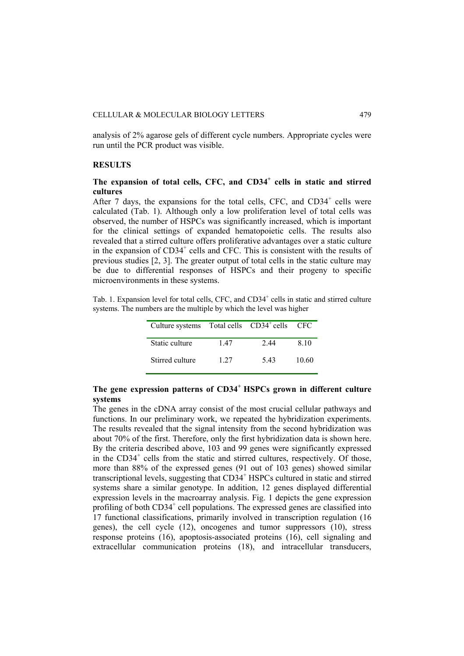analysis of 2% agarose gels of different cycle numbers. Appropriate cycles were run until the PCR product was visible.

#### **RESULTS**

# **The expansion of total cells, CFC, and CD34<sup>+</sup> cells in static and stirred cultures**

After 7 days, the expansions for the total cells, CFC, and  $CD34<sup>+</sup>$  cells were calculated (Tab. 1). Although only a low proliferation level of total cells was observed, the number of HSPCs was significantly increased, which is important for the clinical settings of expanded hematopoietic cells. The results also revealed that a stirred culture offers proliferative advantages over a static culture in the expansion of CD34<sup>+</sup> cells and CFC. This is consistent with the results of previous studies [2, 3]. The greater output of total cells in the static culture may be due to differential responses of HSPCs and their progeny to specific microenvironments in these systems.

Tab. 1. Expansion level for total cells, CFC, and CD34<sup>+</sup> cells in static and stirred culture systems. The numbers are the multiple by which the level was higher

| Culture systems Total cells CD34 <sup>+</sup> cells |       |      | - CFC |
|-----------------------------------------------------|-------|------|-------|
| Static culture                                      | 147   | 2.44 | 8.10  |
| Stirred culture                                     | 1 2 7 | 543  | 10.60 |

# **The gene expression patterns of CD34+ HSPCs grown in different culture systems**

The genes in the cDNA array consist of the most crucial cellular pathways and functions. In our preliminary work, we repeated the hybridization experiments. The results revealed that the signal intensity from the second hybridization was about 70% of the first. Therefore, only the first hybridization data is shown here. By the criteria described above, 103 and 99 genes were significantly expressed in the CD34<sup>+</sup> cells from the static and stirred cultures, respectively. Of those, more than 88% of the expressed genes (91 out of 103 genes) showed similar transcriptional levels, suggesting that CD34<sup>+</sup> HSPCs cultured in static and stirred systems share a similar genotype. In addition, 12 genes displayed differential expression levels in the macroarray analysis. Fig. 1 depicts the gene expression profiling of both CD34<sup>+</sup> cell populations. The expressed genes are classified into 17 functional classifications, primarily involved in transcription regulation (16 genes), the cell cycle (12), oncogenes and tumor suppressors (10), stress response proteins (16), apoptosis-associated proteins (16), cell signaling and extracellular communication proteins (18), and intracellular transducers,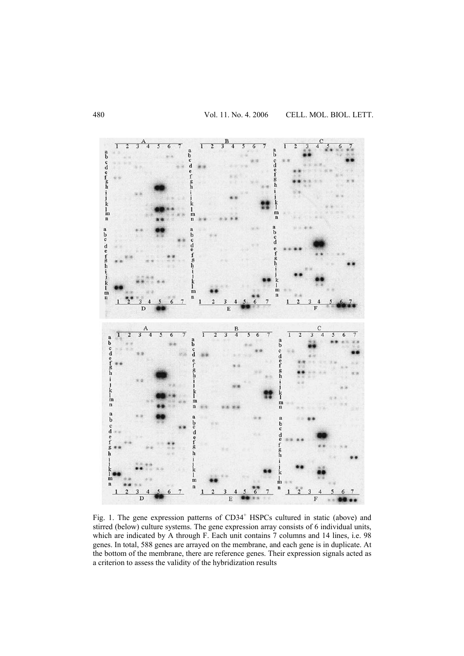

Fig. 1. The gene expression patterns of CD34<sup>+</sup> HSPCs cultured in static (above) and stirred (below) culture systems. The gene expression array consists of 6 individual units, which are indicated by A through F. Each unit contains 7 columns and 14 lines, i.e. 98 genes. In total, 588 genes are arrayed on the membrane, and each gene is in duplicate. At the bottom of the membrane, there are reference genes. Their expression signals acted as a criterion to assess the validity of the hybridization results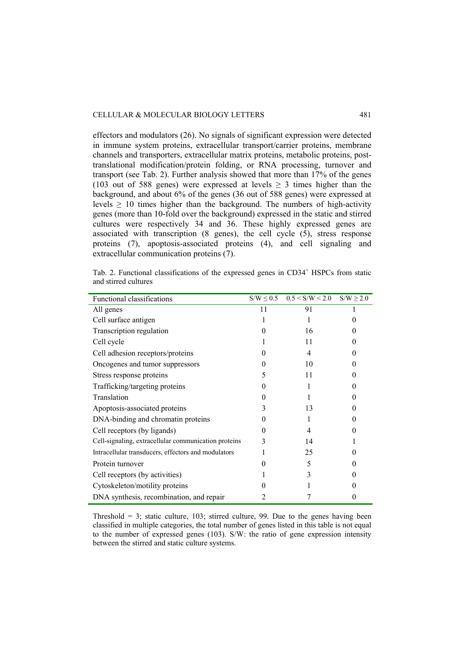effectors and modulators (26). No signals of significant expression were detected in immune system proteins, extracellular transport/carrier proteins, membrane channels and transporters, extracellular matrix proteins, metabolic proteins, posttranslational modification/protein folding, or RNA processing, turnover and transport (see Tab. 2). Further analysis showed that more than 17% of the genes (103 out of 588 genes) were expressed at levels  $\geq$  3 times higher than the background, and about 6% of the genes (36 out of 588 genes) were expressed at levels  $\geq 10$  times higher than the background. The numbers of high-activity genes (more than 10-fold over the background) expressed in the static and stirred cultures were respectively 34 and 36. These highly expressed genes are associated with transcription (8 genes), the cell cycle (5), stress response proteins (7), apoptosis-associated proteins (4), and cell signaling and extracellular communication proteins (7).

Tab. 2. Functional classifications of the expressed genes in CD34<sup>+</sup> HSPCs from static and stirred cultures

| <b>Functional classifications</b>                    |    | $S/W \le 0.5$ $0.5 < S/W < 2.0$ $S/W \ge 2.0$ |                   |
|------------------------------------------------------|----|-----------------------------------------------|-------------------|
| All genes                                            | 11 | 91                                            |                   |
| Cell surface antigen                                 |    |                                               |                   |
| Transcription regulation                             | 0  | 16                                            | $\mathbf{\Omega}$ |
| Cell cycle                                           |    | 11                                            | 0                 |
| Cell adhesion receptors/proteins                     | 0  | 4                                             | $\mathbf{0}$      |
| Oncogenes and tumor suppressors                      | 0  | 10                                            | 0                 |
| Stress response proteins                             | 5  | 11                                            | 0                 |
| Trafficking/targeting proteins                       | 0  |                                               | 0                 |
| Translation                                          | 0  |                                               | $\mathbf{\Omega}$ |
| Apoptosis-associated proteins                        |    | 13                                            |                   |
| DNA-binding and chromatin proteins                   | 0  |                                               | $\mathbf{\Omega}$ |
| Cell receptors (by ligands)                          | 0  | 4                                             |                   |
| Cell-signaling, extracellular communication proteins | 3  | 14                                            |                   |
| Intracellular transducers, effectors and modulators  |    | 25                                            |                   |
| Protein turnover                                     |    | 5                                             |                   |
| Cell receptors (by activities)                       |    | 3                                             |                   |
| Cytoskeleton/motility proteins                       |    |                                               |                   |
| DNA synthesis, recombination, and repair             |    |                                               |                   |

Threshold  $= 3$ ; static culture, 103; stirred culture, 99. Due to the genes having been classified in multiple categories, the total number of genes listed in this table is not equal to the number of expressed genes (103). S/W: the ratio of gene expression intensity between the stirred and static culture systems.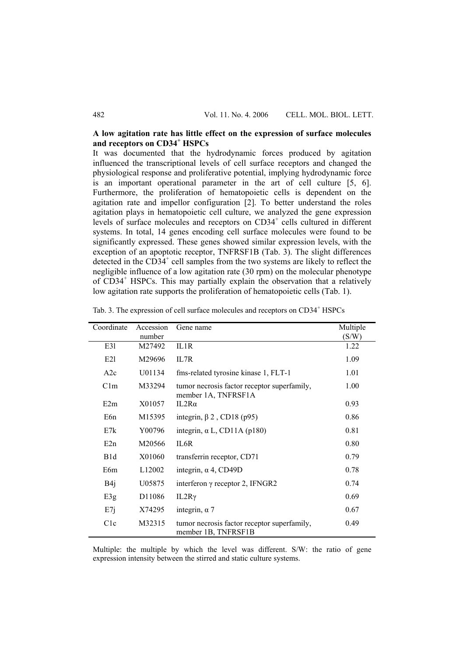# **A low agitation rate has little effect on the expression of surface molecules and receptors on CD34<sup>+</sup> HSPCs**

It was documented that the hydrodynamic forces produced by agitation influenced the transcriptional levels of cell surface receptors and changed the physiological response and proliferative potential, implying hydrodynamic force is an important operational parameter in the art of cell culture [5, 6]. Furthermore, the proliferation of hematopoietic cells is dependent on the agitation rate and impellor configuration [2]. To better understand the roles agitation plays in hematopoietic cell culture, we analyzed the gene expression levels of surface molecules and receptors on CD34<sup>+</sup> cells cultured in different systems. In total, 14 genes encoding cell surface molecules were found to be significantly expressed. These genes showed similar expression levels, with the exception of an apoptotic receptor, TNFRSF1B (Tab. 3). The slight differences detected in the  $CD34^+$  cell samples from the two systems are likely to reflect the negligible influence of a low agitation rate (30 rpm) on the molecular phenotype of CD34<sup>+</sup> HSPCs. This may partially explain the observation that a relatively low agitation rate supports the proliferation of hematopoietic cells (Tab. 1).

| Coordinate       | Accession          | Gene name                                                          | Multiple |
|------------------|--------------------|--------------------------------------------------------------------|----------|
|                  | number             |                                                                    | (S/W)    |
| E31              | M27492             | IL1R                                                               | 1.22     |
| E21              | M29696             | IL7R                                                               | 1.09     |
| A2c              | U01134             | fms-related tyrosine kinase 1, FLT-1                               | 1.01     |
| C1m              | M33294             | tumor necrosis factor receptor superfamily,<br>member 1A, TNFRSF1A | 1.00     |
| E2m              | X01057             | IL2Ra                                                              | 0.93     |
| E6n              | M15395             | integrin, $\beta$ 2, CD18 (p95)                                    | 0.86     |
| E7k              | Y00796             | integrin, $\alpha$ L, CD11A (p180)                                 | 0.81     |
| E2n              | M20566             | IL6R                                                               | 0.80     |
| B <sub>1</sub> d | X01060             | transferrin receptor, CD71                                         | 0.79     |
| E6m              | L <sub>12002</sub> | integrin, $\alpha$ 4, CD49D                                        | 0.78     |
| B4j              | U05875             | interferon $\gamma$ receptor 2, IFNGR2                             | 0.74     |
| E3g              | D <sub>11086</sub> | $IL2R\gamma$                                                       | 0.69     |
| E7j              | X74295             | integrin, $\alpha$ 7                                               | 0.67     |
| C1c              | M32315             | tumor necrosis factor receptor superfamily,<br>member 1B, TNFRSF1B | 0.49     |

Tab. 3. The expression of cell surface molecules and receptors on CD34<sup>+</sup> HSPCs

Multiple: the multiple by which the level was different. S/W: the ratio of gene expression intensity between the stirred and static culture systems.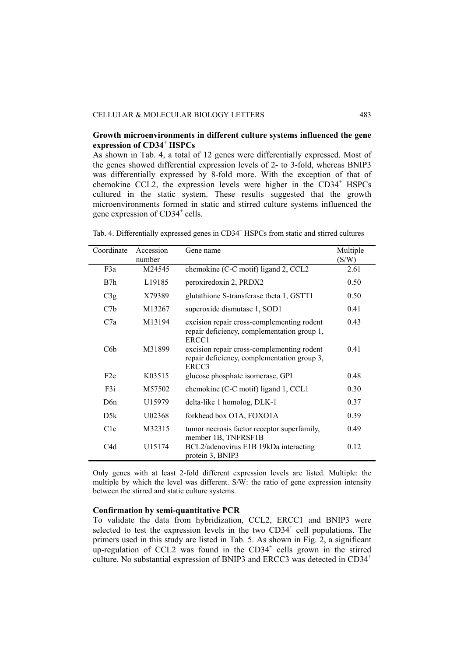## **Growth microenvironments in different culture systems influenced the gene expression of CD34<sup>+</sup> HSPCs**

As shown in Tab. 4, a total of 12 genes were differentially expressed. Most of the genes showed differential expression levels of 2- to 3-fold, whereas BNIP3 was differentially expressed by 8-fold more. With the exception of that of chemokine CCL2, the expression levels were higher in the CD34<sup>+</sup> HSPCs cultured in the static system. These results suggested that the growth microenvironments formed in static and stirred culture systems influenced the gene expression of CD34<sup>+</sup> cells.

| Coordinate       | Accession<br>number | Gene name                                                                                          | Multiple<br>(S/W) |
|------------------|---------------------|----------------------------------------------------------------------------------------------------|-------------------|
| F3a              | M24545              | chemokine (C-C motif) ligand 2, CCL2                                                               | 2.61              |
| B7h              | L <sub>19185</sub>  | peroxiredoxin 2, PRDX2                                                                             | 0.50              |
| C3g              | X79389              | glutathione S-transferase theta 1, GSTT1                                                           | 0.50              |
| C7b              | M13267              | superoxide dismutase 1, SOD1                                                                       | 0.41              |
| C7a              | M13194              | excision repair cross-complementing rodent<br>repair deficiency, complementation group 1,<br>ERCC1 | 0.43              |
| C6b              | M31899              | excision repair cross-complementing rodent<br>repair deficiency, complementation group 3,<br>ERCC3 | 0.41              |
| F <sub>2</sub> e | K03515              | glucose phosphate isomerase, GPI                                                                   | 0.48              |
| F3i              | M57502              | chemokine (C-C motif) ligand 1, CCL1                                                               | 0.30              |
| D6n              | U15979              | delta-like 1 homolog, DLK-1                                                                        | 0.37              |
| D5k              | U02368              | forkhead box O1A, FOXO1A                                                                           | 0.39              |
| C1c              | M32315              | tumor necrosis factor receptor superfamily,<br>member 1B, TNFRSF1B                                 | 0.49              |
| C4d              | U15174              | BCL2/adenovirus E1B 19kDa interacting<br>protein 3, BNIP3                                          | 0.12              |

Tab. 4. Differentially expressed genes in CD34<sup>+</sup> HSPCs from static and stirred cultures

Only genes with at least 2-fold different expression levels are listed. Multiple: the multiple by which the level was different. S/W: the ratio of gene expression intensity between the stirred and static culture systems.

### **Confirmation by semi-quantitative PCR**

To validate the data from hybridization, CCL2, ERCC1 and BNIP3 were selected to test the expression levels in the two  $CD34<sup>+</sup>$  cell populations. The primers used in this study are listed in Tab. 5. As shown in Fig. 2, a significant up-regulation of CCL2 was found in the  $CD34<sup>+</sup>$  cells grown in the stirred culture. No substantial expression of BNIP3 and ERCC3 was detected in CD34<sup>+</sup>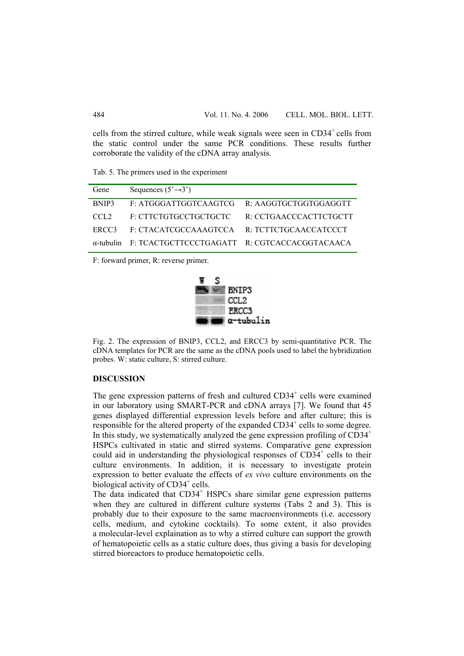cells from the stirred culture, while weak signals were seen in  $CD34<sup>+</sup>$  cells from the static control under the same PCR conditions. These results further corroborate the validity of the cDNA array analysis.

Tab. 5. The primers used in the experiment

| Gene             | Sequences $(5\rightarrow 3')$                          |                        |
|------------------|--------------------------------------------------------|------------------------|
| BNIP3            | F: ATGGGATTGGTCAAGTCG R: AAGGTGCTGGTGGAGGTT            |                        |
| CCL <sub>2</sub> | F: CTTCTGTGCCTGCTGCTC                                  | R: CCTGAACCCACTTCTGCTT |
| ERCC3            | F: CTACATCGCCAAAGTCCA R: TCTTCTGCAACCATCCCT            |                        |
|                  | α-tubulin F: TCACTGCTTCCCTGAGATT R: CGTCACCACGGTACAACA |                        |

F: forward primer, R: reverse primer.



Fig. 2. The expression of BNIP3, CCL2, and ERCC3 by semi-quantitative PCR. The cDNA templates for PCR are the same as the cDNA pools used to label the hybridization probes. W: static culture, S: stirred culture.

### **DISCUSSION**

The gene expression patterns of fresh and cultured  $CD34<sup>+</sup>$  cells were examined in our laboratory using SMART-PCR and cDNA arrays [7]. We found that 45 genes displayed differential expression levels before and after culture; this is responsible for the altered property of the expanded CD34<sup>+</sup> cells to some degree. In this study, we systematically analyzed the gene expression profiling of  $CD34<sup>+</sup>$ HSPCs cultivated in static and stirred systems. Comparative gene expression could aid in understanding the physiological responses of  $CD34<sup>+</sup>$  cells to their culture environments. In addition, it is necessary to investigate protein expression to better evaluate the effects of *ex vivo* culture environments on the biological activity of CD34<sup>+</sup> cells.

The data indicated that CD34<sup>+</sup> HSPCs share similar gene expression patterns when they are cultured in different culture systems (Tabs 2 and 3). This is probably due to their exposure to the same macroenvironments (i.e. accessory cells, medium, and cytokine cocktails). To some extent, it also provides a molecular-level explaination as to why a stirred culture can support the growth of hematopoietic cells as a static culture does, thus giving a basis for developing stirred bioreactors to produce hematopoietic cells.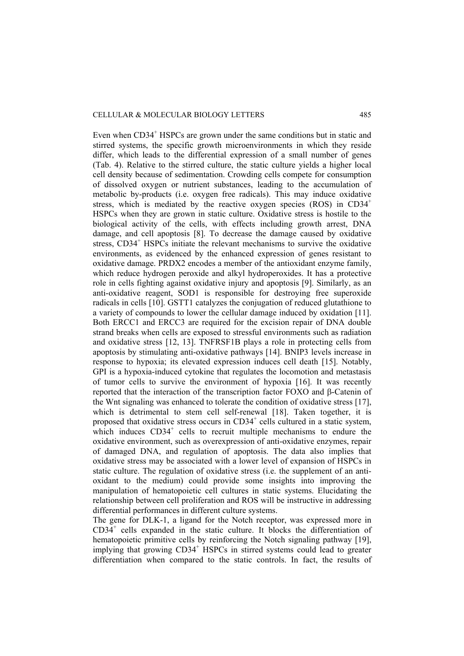#### CELLULAR & MOLECULAR BIOLOGY LETTERS 485

Even when CD34<sup>+</sup> HSPCs are grown under the same conditions but in static and stirred systems, the specific growth microenvironments in which they reside differ, which leads to the differential expression of a small number of genes (Tab. 4). Relative to the stirred culture, the static culture yields a higher local cell density because of sedimentation. Crowding cells compete for consumption of dissolved oxygen or nutrient substances, leading to the accumulation of metabolic by-products (i.e. oxygen free radicals). This may induce oxidative stress, which is mediated by the reactive oxygen species (ROS) in  $CD34<sup>+</sup>$ HSPCs when they are grown in static culture. Oxidative stress is hostile to the biological activity of the cells, with effects including growth arrest, DNA damage, and cell apoptosis [8]. To decrease the damage caused by oxidative stress, CD34<sup>+</sup> HSPCs initiate the relevant mechanisms to survive the oxidative environments, as evidenced by the enhanced expression of genes resistant to oxidative damage. PRDX2 encodes a member of the antioxidant enzyme family, which reduce hydrogen peroxide and alkyl hydroperoxides. It has a protective role in cells fighting against oxidative injury and apoptosis [9]. Similarly, as an anti-oxidative reagent, SOD1 is responsible for destroying free superoxide radicals in cells [10]. GSTT1 catalyzes the conjugation of reduced glutathione to a variety of compounds to lower the cellular damage induced by oxidation [11]. Both ERCC1 and ERCC3 are required for the excision repair of DNA double strand breaks when cells are exposed to stressful environments such as radiation and oxidative stress [12, 13]. TNFRSF1B plays a role in protecting cells from apoptosis by stimulating anti-oxidative pathways [14]. BNIP3 levels increase in response to hypoxia; its elevated expression induces cell death [15]. Notably, GPI is a hypoxia-induced cytokine that regulates the locomotion and metastasis of tumor cells to survive the environment of hypoxia [16]. It was recently reported that the interaction of the transcription factor FOXO and β-Catenin of the Wnt signaling was enhanced to tolerate the condition of oxidative stress [17], which is detrimental to stem cell self-renewal [18]. Taken together, it is proposed that oxidative stress occurs in CD34<sup>+</sup> cells cultured in a static system, which induces  $CD34<sup>+</sup>$  cells to recruit multiple mechanisms to endure the oxidative environment, such as overexpression of anti-oxidative enzymes, repair of damaged DNA, and regulation of apoptosis. The data also implies that oxidative stress may be associated with a lower level of expansion of HSPCs in static culture. The regulation of oxidative stress (i.e. the supplement of an antioxidant to the medium) could provide some insights into improving the manipulation of hematopoietic cell cultures in static systems. Elucidating the relationship between cell proliferation and ROS will be instructive in addressing differential performances in different culture systems.

The gene for DLK-1, a ligand for the Notch receptor, was expressed more in  $CD34<sup>+</sup>$  cells expanded in the static culture. It blocks the differentiation of hematopoietic primitive cells by reinforcing the Notch signaling pathway [19], implying that growing CD34<sup>+</sup> HSPCs in stirred systems could lead to greater differentiation when compared to the static controls. In fact, the results of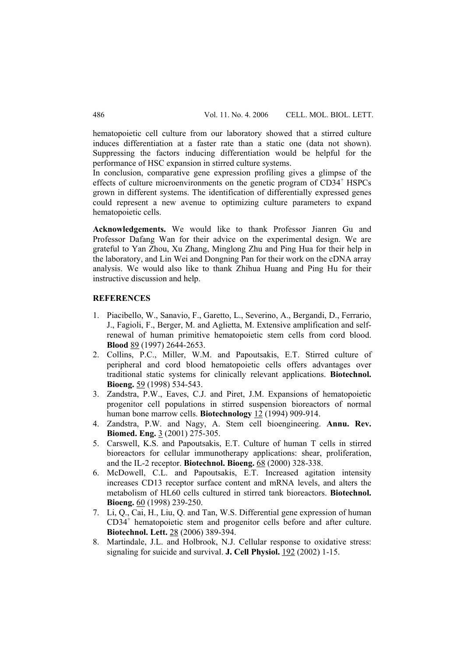hematopoietic cell culture from our laboratory showed that a stirred culture induces differentiation at a faster rate than a static one (data not shown). Suppressing the factors inducing differentiation would be helpful for the performance of HSC expansion in stirred culture systems.

In conclusion, comparative gene expression profiling gives a glimpse of the effects of culture microenvironments on the genetic program of CD34<sup>+</sup> HSPCs grown in different systems. The identification of differentially expressed genes could represent a new avenue to optimizing culture parameters to expand hematopoietic cells.

**Acknowledgements.** We would like to thank Professor Jianren Gu and Professor Dafang Wan for their advice on the experimental design. We are grateful to Yan Zhou, Xu Zhang, Minglong Zhu and Ping Hua for their help in the laboratory, and Lin Wei and Dongning Pan for their work on the cDNA array analysis. We would also like to thank Zhihua Huang and Ping Hu for their instructive discussion and help.

### **REFERENCES**

- 1. Piacibello, W., Sanavio, F., Garetto, L., Severino, A., Bergandi, D., Ferrario, J., Fagioli, F., Berger, M. and Aglietta, M. Extensive amplification and selfrenewal of human primitive hematopoietic stem cells from cord blood. **Blood** 89 (1997) 2644-2653.
- 2. Collins, P.C., Miller, W.M. and Papoutsakis, E.T. Stirred culture of peripheral and cord blood hematopoietic cells offers advantages over traditional static systems for clinically relevant applications. **Biotechnol. Bioeng.** 59 (1998) 534-543.
- 3. Zandstra, P.W., Eaves, C.J. and Piret, J.M. Expansions of hematopoietic progenitor cell populations in stirred suspension bioreactors of normal human bone marrow cells. **Biotechnology** 12 (1994) 909-914.
- 4. Zandstra, P.W. and Nagy, A. Stem cell bioengineering. **Annu. Rev. Biomed. Eng.** 3 (2001) 275-305.
- 5. Carswell, K.S. and Papoutsakis, E.T. Culture of human T cells in stirred bioreactors for cellular immunotherapy applications: shear, proliferation, and the IL-2 receptor. **Biotechnol. Bioeng.** 68 (2000) 328-338.
- 6. McDowell, C.L. and Papoutsakis, E.T. Increased agitation intensity increases CD13 receptor surface content and mRNA levels, and alters the metabolism of HL60 cells cultured in stirred tank bioreactors. **Biotechnol. Bioeng.** 60 (1998) 239-250.
- 7. Li, Q., Cai, H., Liu, Q. and Tan, W.S. Differential gene expression of human CD34<sup>+</sup> hematopoietic stem and progenitor cells before and after culture. **Biotechnol. Lett.** 28 (2006) 389-394.
- 8. Martindale, J.L. and Holbrook, N.J. Cellular response to oxidative stress: signaling for suicide and survival. **J. Cell Physiol.** 192 (2002) 1-15.